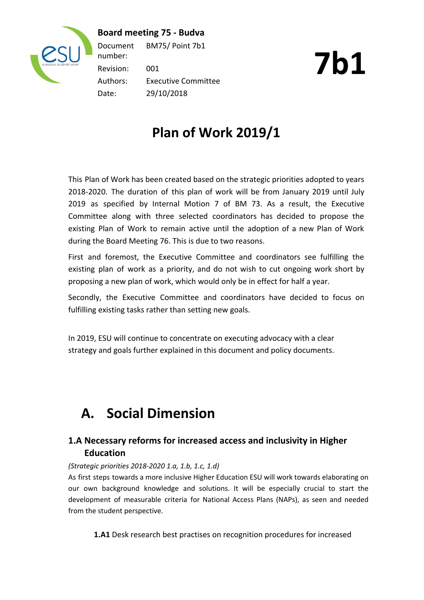



Document number: BM75/ Point 7b1

Revision: 001 Authors: Executive Committee Date: 29/10/2018

**7b1**

# **Plan of Work 2019/1**

This Plan of Work has been created based on the strategic priorities adopted to years 2018-2020. The duration of this plan of work will be from January 2019 until July 2019 as specified by Internal Motion 7 of BM 73. As a result, the Executive Committee along with three selected coordinators has decided to propose the existing Plan of Work to remain active until the adoption of a new Plan of Work during the Board Meeting 76. This is due to two reasons.

First and foremost, the Executive Committee and coordinators see fulfilling the existing plan of work as a priority, and do not wish to cut ongoing work short by proposing a new plan of work, which would only be in effect for half a year.

Secondly, the Executive Committee and coordinators have decided to focus on fulfilling existing tasks rather than setting new goals.

In 2019, ESU will continue to concentrate on executing advocacy with a clear strategy and goals further explained in this document and policy documents.

# **A. Social Dimension**

### **1.A Necessary reforms for increased access and inclusivity in Higher Education**

### *(Strategic priorities 2018-2020 1.a, 1.b, 1.c, 1.d)*

As first steps towards a more inclusive Higher Education ESU will work towards elaborating on our own background knowledge and solutions. It will be especially crucial to start the development of measurable criteria for National Access Plans (NAPs), as seen and needed from the student perspective.

**1.A1** Desk research best practises on recognition procedures for increased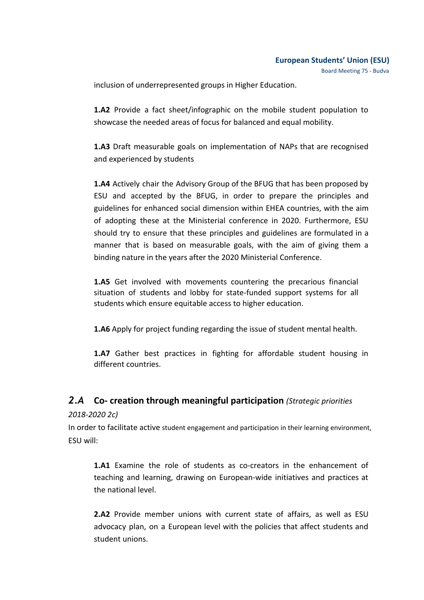inclusion of underrepresented groups in Higher Education.

**1.A2** Provide a fact sheet/infographic on the mobile student population to showcase the needed areas of focus for balanced and equal mobility.

**1.A3** Draft measurable goals on implementation of NAPs that are recognised and experienced by students

**1.A4** Actively chair the Advisory Group of the BFUG that has been proposed by ESU and accepted by the BFUG, in order to prepare the principles and guidelines for enhanced social dimension within EHEA countries, with the aim of adopting these at the Ministerial conference in 2020. Furthermore, ESU should try to ensure that these principles and guidelines are formulated in a manner that is based on measurable goals, with the aim of giving them a binding nature in the years after the 2020 Ministerial Conference.

**1.A5** Get involved with movements countering the precarious financial situation of students and lobby for state-funded support systems for all students which ensure equitable access to higher education.

**1.A6** Apply for project funding regarding the issue of student mental health.

**1.A7** Gather best practices in fighting for affordable student housing in different countries.

### *2.A* **Co- creation through meaningful participation** *(Strategic priorities*

*2018-2020 2c)*

In order to facilitate active student engagement and participation in their learning environment, ESU will:

**1.A1** Examine the role of students as co-creators in the enhancement of teaching and learning, drawing on European-wide initiatives and practices at the national level.

**2.A2** Provide member unions with current state of affairs, as well as ESU advocacy plan, on a European level with the policies that affect students and student unions.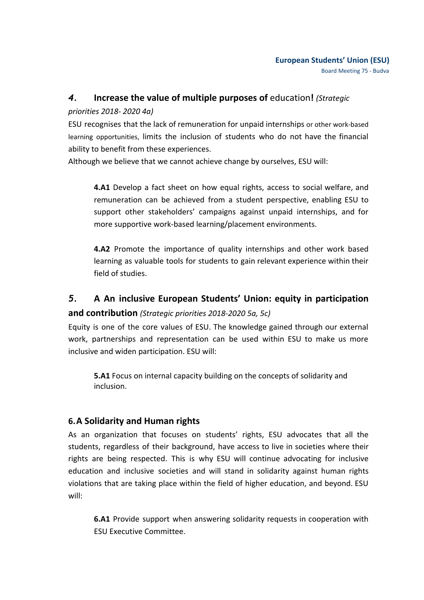### **European Students' Union (ESU)** Board Meeting 75 - Budva

### *4.* **Increase the value of multiple purposes of** education**!** *(Strategic*

### *priorities 2018- 2020 4a)*

ESU recognises that the lack of remuneration for unpaid internships or other work-based learning opportunities, limits the inclusion of students who do not have the financial ability to benefit from these experiences.

Although we believe that we cannot achieve change by ourselves, ESU will:

**4.A1** Develop a fact sheet on how equal rights, access to social welfare, and remuneration can be achieved from a student perspective, enabling ESU to support other stakeholders' campaigns against unpaid internships, and for more supportive work-based learning/placement environments.

**4.A2** Promote the importance of quality internships and other work based learning as valuable tools for students to gain relevant experience within their field of studies.

# *5.* **A An inclusive European Students' Union: equity in participation and contribution** *(Strategic priorities 2018-2020 5a, 5c)*

Equity is one of the core values of ESU. The knowledge gained through our external work, partnerships and representation can be used within ESU to make us more inclusive and widen participation. ESU will:

**5.A1** Focus on internal capacity building on the concepts of solidarity and inclusion.

### **6.A Solidarity and Human rights**

As an organization that focuses on students' rights, ESU advocates that all the students, regardless of their background, have access to live in societies where their rights are being respected. This is why ESU will continue advocating for inclusive education and inclusive societies and will stand in solidarity against human rights violations that are taking place within the field of higher education, and beyond. ESU will:

**6.A1** Provide support when answering solidarity requests in cooperation with ESU Executive Committee.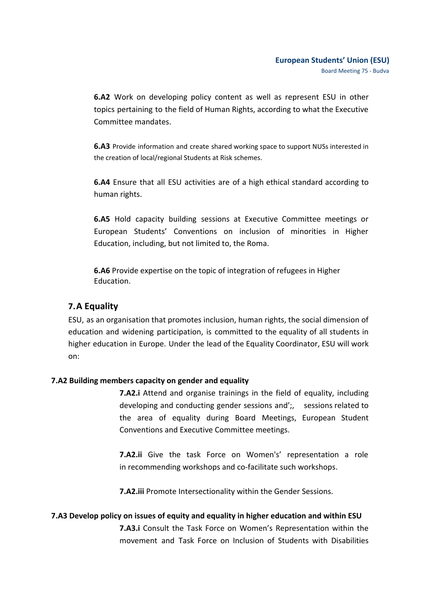**6.A2** Work on developing policy content as well as represent ESU in other topics pertaining to the field of Human Rights, according to what the Executive Committee mandates.

**6.A3** Provide information and create shared working space to support NUSs interested in the creation of local/regional Students at Risk schemes.

**6.A4** Ensure that all ESU activities are of a high ethical standard according to human rights.

**6.A5** Hold capacity building sessions at Executive Committee meetings or European Students' Conventions on inclusion of minorities in Higher Education, including, but not limited to, the Roma.

**6.A6** Provide expertise on the topic of integration of refugees in Higher Education.

### **7.A Equality**

ESU, as an organisation that promotes inclusion, human rights, the social dimension of education and widening participation, is committed to the equality of all students in higher education in Europe. Under the lead of the Equality Coordinator, ESU will work on:

### **7.A2 Building members capacity on gender and equality**

**7.A2.i** Attend and organise trainings in the field of equality, including developing and conducting gender sessions and';, sessions related to the area of equality during Board Meetings, European Student Conventions and Executive Committee meetings.

**7.A2.ii** Give the task Force on Women's' representation a role in recommending workshops and co-facilitate such workshops.

**7.A2.iii** Promote Intersectionality within the Gender Sessions.

### **7.A3 Develop policy on issues of equity and equality in higher education and within ESU**

**7.A3.i** Consult the Task Force on Women's Representation within the movement and Task Force on Inclusion of Students with Disabilities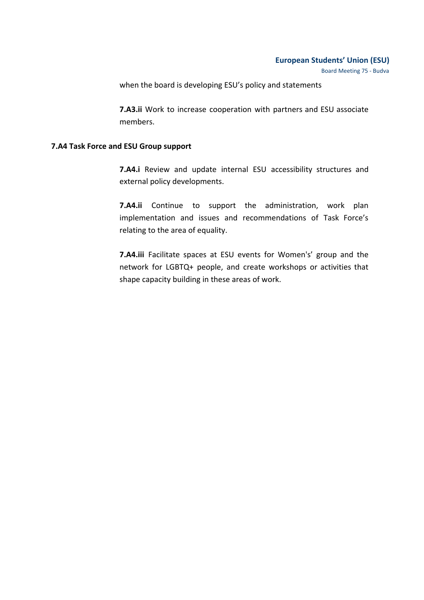Board Meeting 75 - Budva

when the board is developing ESU's policy and statements

**7.A3.ii** Work to increase cooperation with partners and ESU associate members.

### **7.A4 Task Force and ESU Group support**

**7.A4.i** Review and update internal ESU accessibility structures and external policy developments.

**7.A4.ii** Continue to support the administration, work plan implementation and issues and recommendations of Task Force's relating to the area of equality.

**7.A4.iii** Facilitate spaces at ESU events for Women's' group and the network for LGBTQ+ people, and create workshops or activities that shape capacity building in these areas of work.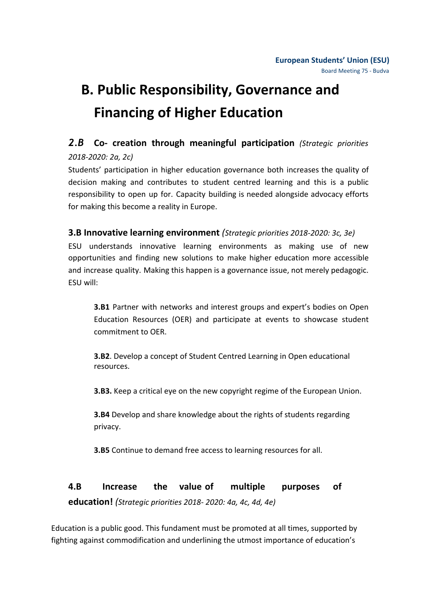# **B. Public Responsibility, Governance and Financing of Higher Education**

## *2.B* **Co- creation through meaningful participation** *(Strategic priorities 2018-2020: 2a, 2c)*

Students' participation in higher education governance both increases the quality of decision making and contributes to student centred learning and this is a public responsibility to open up for. Capacity building is needed alongside advocacy efforts for making this become a reality in Europe.

### **3.B Innovative learning environment** *(Strategic priorities 2018-2020: 3c, 3e)*

ESU understands innovative learning environments as making use of new opportunities and finding new solutions to make higher education more accessible and increase quality. Making this happen is a governance issue, not merely pedagogic. ESU will:

**3.B1** Partner with networks and interest groups and expert's bodies on Open Education Resources (OER) and participate at events to showcase student commitment to OER.

**3.B2**. Develop a concept of Student Centred Learning in Open educational resources.

**3.B3.** Keep a critical eye on the new copyright regime of the European Union.

**3.B4** Develop and share knowledge about the rights of students regarding privacy.

**3.B5** Continue to demand free access to learning resources for all.

# **4.B Increase the value of multiple purposes of education!** *(Strategic priorities 2018- 2020: 4a, 4c, 4d, 4e)*

Education is a public good. This fundament must be promoted at all times, supported by fighting against commodification and underlining the utmost importance of education's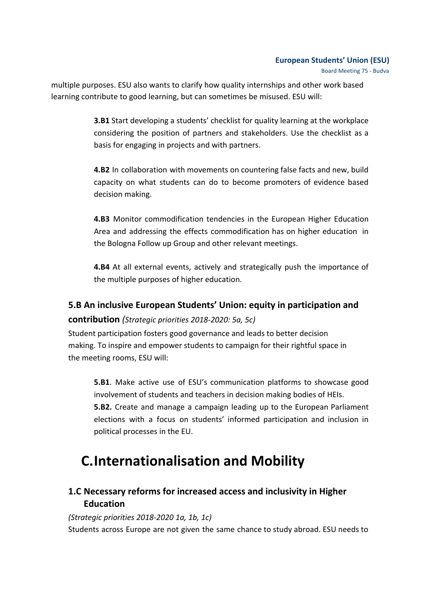Board Meeting 75 - Budva

multiple purposes. ESU also wants to clarify how quality internships and other work based learning contribute to good learning, but can sometimes be misused. ESU will:

> **3.B1** Start developing a students' checklist for quality learning at the workplace considering the position of partners and stakeholders. Use the checklist as a basis for engaging in projects and with partners.

> **4.B2** In collaboration with movements on countering false facts and new, build capacity on what students can do to become promoters of evidence based decision making.

> **4.B3** Monitor commodification tendencies in the European Higher Education Area and addressing the effects commodification has on higher education in the Bologna Follow up Group and other relevant meetings.

> **4.B4** At all external events, actively and strategically push the importance of the multiple purposes of higher education.

### **5.B An inclusive European Students' Union: equity in participation and**

### **contribution** *(Strategic priorities 2018-2020: 5a, 5c)*

Student participation fosters good governance and leads to better decision making. To inspire and empower students to campaign for their rightful space in the meeting rooms, ESU will:

**5.B1**. Make active use of ESU's communication platforms to showcase good involvement of students and teachers in decision making bodies of HEIs. **5.B2.** Create and manage a campaign leading up to the European Parliament elections with a focus on students' informed participation and inclusion in political processes in the EU.

# **C.Internationalisation and Mobility**

### **1.C Necessary reforms for increased access and inclusivity in Higher Education**

*(Strategic priorities 2018-2020 1a, 1b, 1c)* Students across Europe are not given the same chance to study abroad. ESU needs to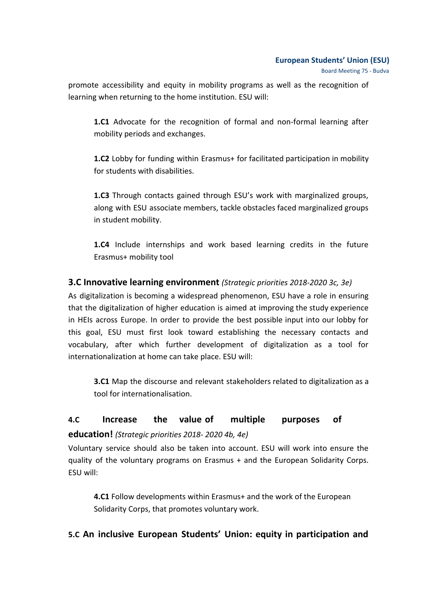Board Meeting 75 - Budva

promote accessibility and equity in mobility programs as well as the recognition of learning when returning to the home institution. ESU will:

**1.C1** Advocate for the recognition of formal and non-formal learning after mobility periods and exchanges.

**1.C2** Lobby for funding within Erasmus+ for facilitated participation in mobility for students with disabilities.

**1.C3** Through contacts gained through ESU's work with marginalized groups, along with ESU associate members, tackle obstacles faced marginalized groups in student mobility.

**1.C4** Include internships and work based learning credits in the future Erasmus+ mobility tool

### **3.C Innovative learning environment** *(Strategic priorities 2018-2020 3c, 3e)*

As digitalization is becoming a widespread phenomenon, ESU have a role in ensuring that the digitalization of higher education is aimed at improving the study experience in HEIs across Europe. In order to provide the best possible input into our lobby for this goal, ESU must first look toward establishing the necessary contacts and vocabulary, after which further development of digitalization as a tool for internationalization at home can take place. ESU will:

**3.C1** Map the discourse and relevant stakeholders related to digitalization as a tool for internationalisation.

## **4.C Increase the value of multiple purposes of education!** *(Strategic priorities 2018- 2020 4b, 4e)*

Voluntary service should also be taken into account. ESU will work into ensure the quality of the voluntary programs on Erasmus + and the European Solidarity Corps. ESU will:

**4.C1** Follow developments within Erasmus+ and the work of the European Solidarity Corps, that promotes voluntary work.

### **5.C An inclusive European Students' Union: equity in participation and**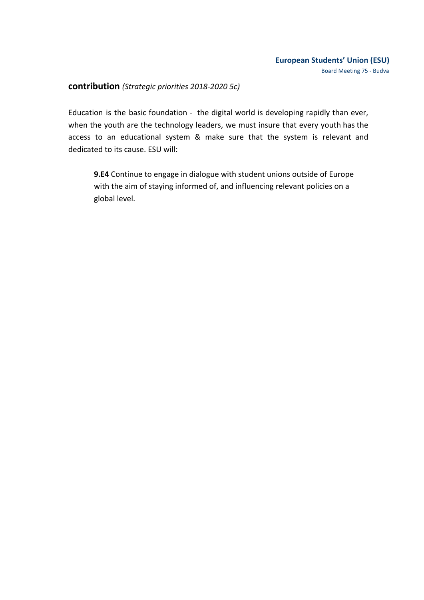### **European Students' Union (ESU)** Board Meeting 75 - Budva

### **contribution** *(Strategic priorities 2018-2020 5c)*

Education is the basic foundation - the digital world is developing rapidly than ever, when the youth are the technology leaders, we must insure that every youth has the access to an educational system & make sure that the system is relevant and dedicated to its cause. ESU will:

**9.E4** Continue to engage in dialogue with student unions outside of Europe with the aim of staying informed of, and influencing relevant policies on a global level.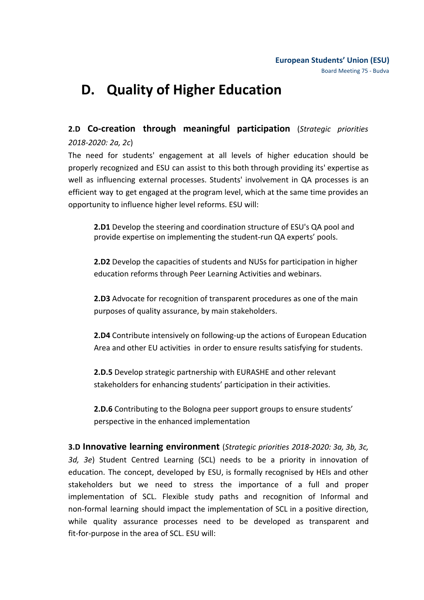# **D. Quality of Higher Education**

### **2.D Co-creation through meaningful participation** (*Strategic priorities 2018-2020: 2a, 2c*)

The need for students' engagement at all levels of higher education should be properly recognized and ESU can assist to this both through providing its' expertise as well as influencing external processes. Students' involvement in QA processes is an efficient way to get engaged at the program level, which at the same time provides an opportunity to influence higher level reforms. ESU will:

**2.D1** Develop the steering and coordination structure of ESU's QA pool and provide expertise on implementing the student-run QA experts' pools.

**2.D2** Develop the capacities of students and NUSs for participation in higher education reforms through Peer Learning Activities and webinars.

**2.D3** Advocate for recognition of transparent procedures as one of the main purposes of quality assurance, by main stakeholders.

**2.D4** Contribute intensively on following-up the actions of European Education Area and other EU activities in order to ensure results satisfying for students.

**2.D.5** Develop strategic partnership with EURASHE and other relevant stakeholders for enhancing students' participation in their activities.

**2.D.6** Contributing to the Bologna peer support groups to ensure students' perspective in the enhanced implementation

**3.D Innovative learning environment** (*Strategic priorities 2018-2020: 3a, 3b, 3c, 3d, 3e*) Student Centred Learning (SCL) needs to be a priority in innovation of education. The concept, developed by ESU, is formally recognised by HEIs and other stakeholders but we need to stress the importance of a full and proper implementation of SCL. Flexible study paths and recognition of Informal and non-formal learning should impact the implementation of SCL in a positive direction, while quality assurance processes need to be developed as transparent and fit-for-purpose in the area of SCL. ESU will: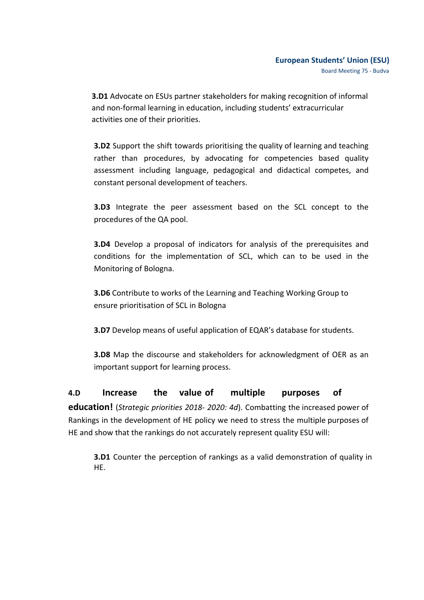**3.D1** Advocate on ESUs partner stakeholders for making recognition of informal and non-formal learning in education, including students' extracurricular activities one of their priorities.

**3.D2** Support the shift towards prioritising the quality of learning and teaching rather than procedures, by advocating for competencies based quality assessment including language, pedagogical and didactical competes, and constant personal development of teachers.

**3.D3** Integrate the peer assessment based on the SCL concept to the procedures of the QA pool.

**3.D4** Develop a proposal of indicators for analysis of the prerequisites and conditions for the implementation of SCL, which can to be used in the Monitoring of Bologna.

**3.D6** Contribute to works of the Learning and Teaching Working Group to ensure prioritisation of SCL in Bologna

**3.D7** Develop means of useful application of EQAR's database for students.

**3.D8** Map the discourse and stakeholders for acknowledgment of OER as an important support for learning process.

**4.D Increase the value of multiple purposes of education!** (*Strategic priorities 2018- 2020: 4d*). Combatting the increased power of

Rankings in the development of HE policy we need to stress the multiple purposes of HE and show that the rankings do not accurately represent quality ESU will:

**3.D1** Counter the perception of rankings as a valid demonstration of quality in HE.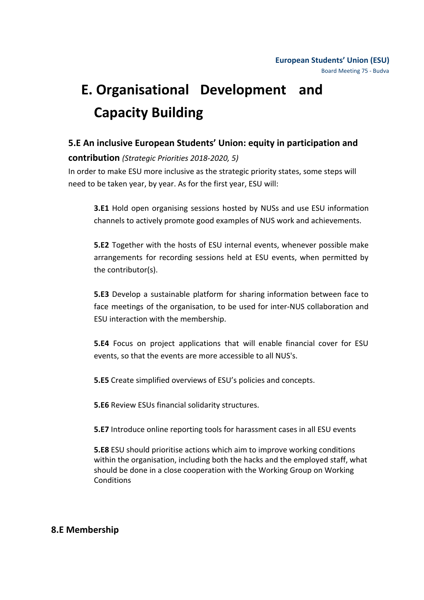# **E. Organisational Development and Capacity Building**

## **5.E An inclusive European Students' Union: equity in participation and**

### **contribution** *(Strategic Priorities 2018-2020, 5)*

In order to make ESU more inclusive as the strategic priority states, some steps will need to be taken year, by year. As for the first year, ESU will:

**3.E1** Hold open organising sessions hosted by NUSs and use ESU information channels to actively promote good examples of NUS work and achievements.

**5.E2** Together with the hosts of ESU internal events, whenever possible make arrangements for recording sessions held at ESU events, when permitted by the contributor(s).

**5.E3** Develop a sustainable platform for sharing information between face to face meetings of the organisation, to be used for inter-NUS collaboration and ESU interaction with the membership.

**5.E4** Focus on project applications that will enable financial cover for ESU events, so that the events are more accessible to all NUS's.

**5.E5** Create simplified overviews of ESU's policies and concepts.

**5.E6** Review ESUs financial solidarity structures.

**5.E7** Introduce online reporting tools for harassment cases in all ESU events

**5.E8** ESU should prioritise actions which aim to improve working conditions within the organisation, including both the hacks and the employed staff, what should be done in a close cooperation with the Working Group on Working **Conditions** 

### **8.E Membership**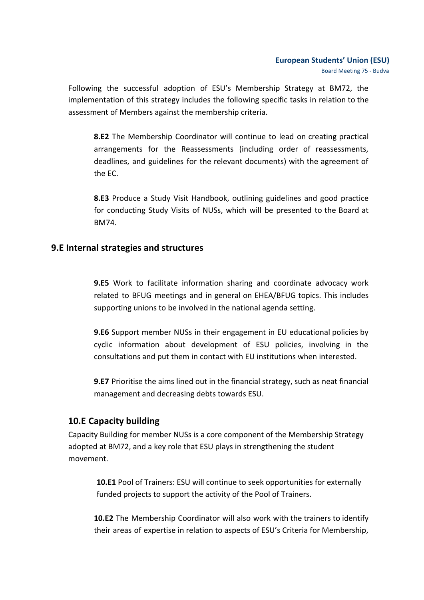Board Meeting 75 - Budva

Following the successful adoption of ESU's Membership Strategy at BM72, the implementation of this strategy includes the following specific tasks in relation to the assessment of Members against the membership criteria.

**8.E2** The Membership Coordinator will continue to lead on creating practical arrangements for the Reassessments (including order of reassessments, deadlines, and guidelines for the relevant documents) with the agreement of the EC.

**8.E3** Produce a Study Visit Handbook, outlining guidelines and good practice for conducting Study Visits of NUSs, which will be presented to the Board at BM74.

### **9.E Internal strategies and structures**

**9.E5** Work to facilitate information sharing and coordinate advocacy work related to BFUG meetings and in general on EHEA/BFUG topics. This includes supporting unions to be involved in the national agenda setting.

**9.E6** Support member NUSs in their engagement in EU educational policies by cyclic information about development of ESU policies, involving in the consultations and put them in contact with EU institutions when interested.

**9.E7** Prioritise the aims lined out in the financial strategy, such as neat financial management and decreasing debts towards ESU.

### **10.E Capacity building**

Capacity Building for member NUSs is a core component of the Membership Strategy adopted at BM72, and a key role that ESU plays in strengthening the student movement.

**10.E1** Pool of Trainers: ESU will continue to seek opportunities for externally funded projects to support the activity of the Pool of Trainers.

**10.E2** The Membership Coordinator will also work with the trainers to identify their areas of expertise in relation to aspects of ESU's Criteria for Membership,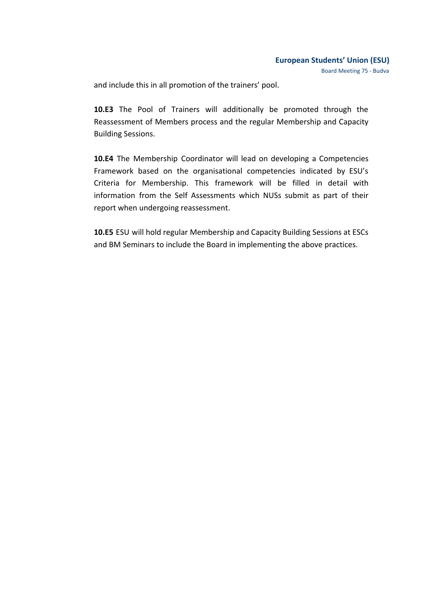and include this in all promotion of the trainers' pool.

**10.E3** The Pool of Trainers will additionally be promoted through the Reassessment of Members process and the regular Membership and Capacity Building Sessions.

**10.E4** The Membership Coordinator will lead on developing a Competencies Framework based on the organisational competencies indicated by ESU's Criteria for Membership. This framework will be filled in detail with information from the Self Assessments which NUSs submit as part of their report when undergoing reassessment.

**10.E5** ESU will hold regular Membership and Capacity Building Sessions at ESCs and BM Seminars to include the Board in implementing the above practices.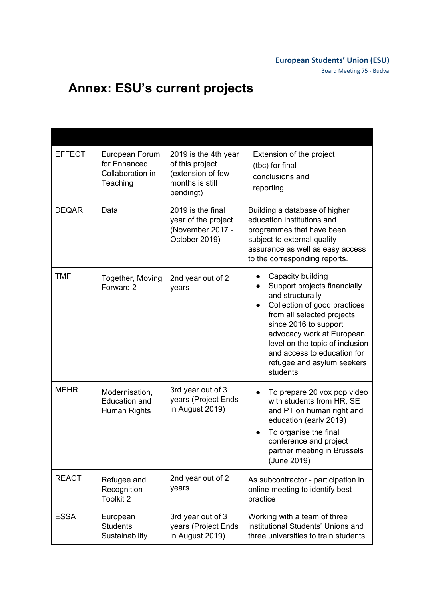Board Meeting 75 - Budva

# **Annex: ESU's current projects**

| <b>EFFECT</b> | European Forum<br>for Enhanced<br>Collaboration in<br>Teaching | 2019 is the 4th year<br>of this project.<br>(extension of few<br>months is still<br>pendingt) | Extension of the project<br>(tbc) for final<br>conclusions and<br>reporting                                                                                                                                                                                                                                        |
|---------------|----------------------------------------------------------------|-----------------------------------------------------------------------------------------------|--------------------------------------------------------------------------------------------------------------------------------------------------------------------------------------------------------------------------------------------------------------------------------------------------------------------|
| <b>DEQAR</b>  | Data                                                           | 2019 is the final<br>year of the project<br>(November 2017 -<br>October 2019)                 | Building a database of higher<br>education institutions and<br>programmes that have been<br>subject to external quality<br>assurance as well as easy access<br>to the corresponding reports.                                                                                                                       |
| <b>TMF</b>    | Together, Moving<br>Forward 2                                  | 2nd year out of 2<br>years                                                                    | Capacity building<br>Support projects financially<br>and structurally<br>Collection of good practices<br>$\bullet$<br>from all selected projects<br>since 2016 to support<br>advocacy work at European<br>level on the topic of inclusion<br>and access to education for<br>refugee and asylum seekers<br>students |
| <b>MEHR</b>   | Modernisation,<br><b>Education and</b><br>Human Rights         | 3rd year out of 3<br>years (Project Ends<br>in August 2019)                                   | To prepare 20 vox pop video<br>with students from HR, SE<br>and PT on human right and<br>education (early 2019)<br>To organise the final<br>conference and project<br>partner meeting in Brussels<br>(June 2019)                                                                                                   |
| <b>REACT</b>  | Refugee and<br>Recognition -<br>Toolkit 2                      | 2nd year out of 2<br>years                                                                    | As subcontractor - participation in<br>online meeting to identify best<br>practice                                                                                                                                                                                                                                 |
| <b>ESSA</b>   | European<br><b>Students</b><br>Sustainability                  | 3rd year out of 3<br>years (Project Ends<br>in August 2019)                                   | Working with a team of three<br>institutional Students' Unions and<br>three universities to train students                                                                                                                                                                                                         |